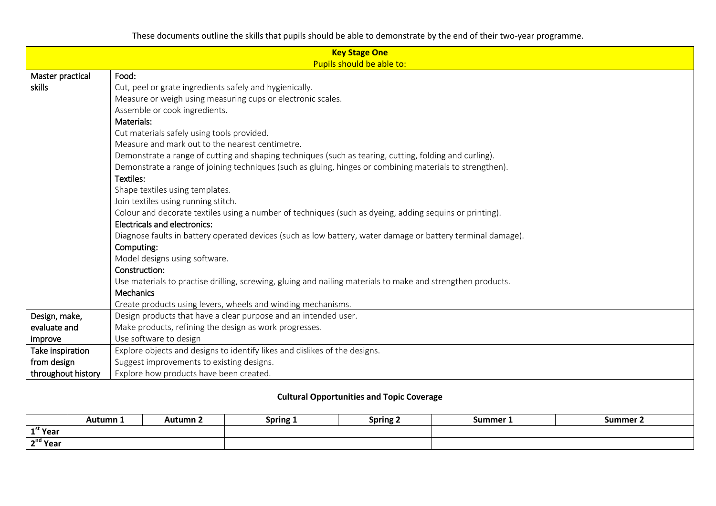| <b>Key Stage One</b><br>Pupils should be able to: |                                                              |                                                                                                                                                |          |                 |          |          |  |  |
|---------------------------------------------------|--------------------------------------------------------------|------------------------------------------------------------------------------------------------------------------------------------------------|----------|-----------------|----------|----------|--|--|
| Master practical                                  | Food:                                                        |                                                                                                                                                |          |                 |          |          |  |  |
| skills                                            |                                                              | Cut, peel or grate ingredients safely and hygienically.                                                                                        |          |                 |          |          |  |  |
|                                                   |                                                              |                                                                                                                                                |          |                 |          |          |  |  |
|                                                   |                                                              | Measure or weigh using measuring cups or electronic scales.                                                                                    |          |                 |          |          |  |  |
|                                                   |                                                              | Assemble or cook ingredients.                                                                                                                  |          |                 |          |          |  |  |
|                                                   |                                                              | Materials:                                                                                                                                     |          |                 |          |          |  |  |
|                                                   |                                                              | Cut materials safely using tools provided.<br>Measure and mark out to the nearest centimetre.                                                  |          |                 |          |          |  |  |
|                                                   |                                                              |                                                                                                                                                |          |                 |          |          |  |  |
|                                                   |                                                              | Demonstrate a range of cutting and shaping techniques (such as tearing, cutting, folding and curling).                                         |          |                 |          |          |  |  |
|                                                   |                                                              | Demonstrate a range of joining techniques (such as gluing, hinges or combining materials to strengthen).                                       |          |                 |          |          |  |  |
|                                                   |                                                              | Textiles:                                                                                                                                      |          |                 |          |          |  |  |
|                                                   |                                                              | Shape textiles using templates.<br>Join textiles using running stitch.                                                                         |          |                 |          |          |  |  |
|                                                   |                                                              |                                                                                                                                                |          |                 |          |          |  |  |
|                                                   |                                                              | Colour and decorate textiles using a number of techniques (such as dyeing, adding sequins or printing).<br><b>Electricals and electronics:</b> |          |                 |          |          |  |  |
|                                                   |                                                              |                                                                                                                                                |          |                 |          |          |  |  |
|                                                   |                                                              | Diagnose faults in battery operated devices (such as low battery, water damage or battery terminal damage).<br>Computing:                      |          |                 |          |          |  |  |
|                                                   |                                                              | Model designs using software.                                                                                                                  |          |                 |          |          |  |  |
|                                                   |                                                              | Construction:                                                                                                                                  |          |                 |          |          |  |  |
|                                                   |                                                              | Use materials to practise drilling, screwing, gluing and nailing materials to make and strengthen products.                                    |          |                 |          |          |  |  |
|                                                   | <b>Mechanics</b>                                             |                                                                                                                                                |          |                 |          |          |  |  |
|                                                   | Create products using levers, wheels and winding mechanisms. |                                                                                                                                                |          |                 |          |          |  |  |
| Design, make,                                     |                                                              | Design products that have a clear purpose and an intended user.                                                                                |          |                 |          |          |  |  |
| evaluate and                                      |                                                              | Make products, refining the design as work progresses.                                                                                         |          |                 |          |          |  |  |
| improve                                           |                                                              | Use software to design                                                                                                                         |          |                 |          |          |  |  |
| Take inspiration                                  |                                                              | Explore objects and designs to identify likes and dislikes of the designs.                                                                     |          |                 |          |          |  |  |
| from design                                       |                                                              | Suggest improvements to existing designs.                                                                                                      |          |                 |          |          |  |  |
| throughout history                                |                                                              | Explore how products have been created.                                                                                                        |          |                 |          |          |  |  |
|                                                   |                                                              |                                                                                                                                                |          |                 |          |          |  |  |
| <b>Cultural Opportunities and Topic Coverage</b>  |                                                              |                                                                                                                                                |          |                 |          |          |  |  |
|                                                   |                                                              |                                                                                                                                                |          |                 |          |          |  |  |
|                                                   | Autumn 1                                                     | <b>Autumn 2</b>                                                                                                                                | Spring 1 | <b>Spring 2</b> | Summer 1 | Summer 2 |  |  |
| $\overline{\mathbf{1}^{\text{st}}}$ Year          |                                                              |                                                                                                                                                |          |                 |          |          |  |  |
| 2 <sup>nd</sup> Year                              |                                                              |                                                                                                                                                |          |                 |          |          |  |  |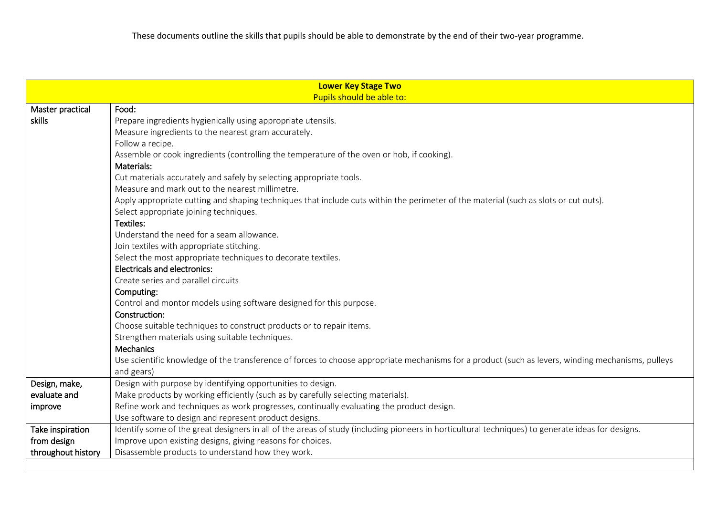| <b>Lower Key Stage Two</b> |                                                                                                                                                    |  |  |  |  |  |  |
|----------------------------|----------------------------------------------------------------------------------------------------------------------------------------------------|--|--|--|--|--|--|
| Pupils should be able to:  |                                                                                                                                                    |  |  |  |  |  |  |
| Master practical           | Food:                                                                                                                                              |  |  |  |  |  |  |
| skills                     | Prepare ingredients hygienically using appropriate utensils.                                                                                       |  |  |  |  |  |  |
|                            | Measure ingredients to the nearest gram accurately.                                                                                                |  |  |  |  |  |  |
|                            | Follow a recipe.                                                                                                                                   |  |  |  |  |  |  |
|                            | Assemble or cook ingredients (controlling the temperature of the oven or hob, if cooking).                                                         |  |  |  |  |  |  |
|                            | Materials:                                                                                                                                         |  |  |  |  |  |  |
|                            | Cut materials accurately and safely by selecting appropriate tools.                                                                                |  |  |  |  |  |  |
|                            | Measure and mark out to the nearest millimetre.                                                                                                    |  |  |  |  |  |  |
|                            | Apply appropriate cutting and shaping techniques that include cuts within the perimeter of the material (such as slots or cut outs).               |  |  |  |  |  |  |
|                            | Select appropriate joining techniques.                                                                                                             |  |  |  |  |  |  |
|                            | Textiles:                                                                                                                                          |  |  |  |  |  |  |
|                            | Understand the need for a seam allowance.                                                                                                          |  |  |  |  |  |  |
|                            | Join textiles with appropriate stitching.                                                                                                          |  |  |  |  |  |  |
|                            | Select the most appropriate techniques to decorate textiles.                                                                                       |  |  |  |  |  |  |
|                            | <b>Electricals and electronics:</b>                                                                                                                |  |  |  |  |  |  |
|                            | Create series and parallel circuits                                                                                                                |  |  |  |  |  |  |
|                            | Computing:                                                                                                                                         |  |  |  |  |  |  |
|                            | Control and montor models using software designed for this purpose.                                                                                |  |  |  |  |  |  |
|                            | Construction:                                                                                                                                      |  |  |  |  |  |  |
|                            | Choose suitable techniques to construct products or to repair items.                                                                               |  |  |  |  |  |  |
|                            | Strengthen materials using suitable techniques.                                                                                                    |  |  |  |  |  |  |
|                            | Mechanics                                                                                                                                          |  |  |  |  |  |  |
|                            | Use scientific knowledge of the transference of forces to choose appropriate mechanisms for a product (such as levers, winding mechanisms, pulleys |  |  |  |  |  |  |
|                            | and gears)                                                                                                                                         |  |  |  |  |  |  |
| Design, make,              | Design with purpose by identifying opportunities to design.                                                                                        |  |  |  |  |  |  |
| evaluate and               | Make products by working efficiently (such as by carefully selecting materials).                                                                   |  |  |  |  |  |  |
| improve                    | Refine work and techniques as work progresses, continually evaluating the product design.                                                          |  |  |  |  |  |  |
|                            | Use software to design and represent product designs.                                                                                              |  |  |  |  |  |  |
| Take inspiration           | Identify some of the great designers in all of the areas of study (including pioneers in horticultural techniques) to generate ideas for designs.  |  |  |  |  |  |  |
| from design                | Improve upon existing designs, giving reasons for choices.                                                                                         |  |  |  |  |  |  |
| throughout history         | Disassemble products to understand how they work.                                                                                                  |  |  |  |  |  |  |
|                            |                                                                                                                                                    |  |  |  |  |  |  |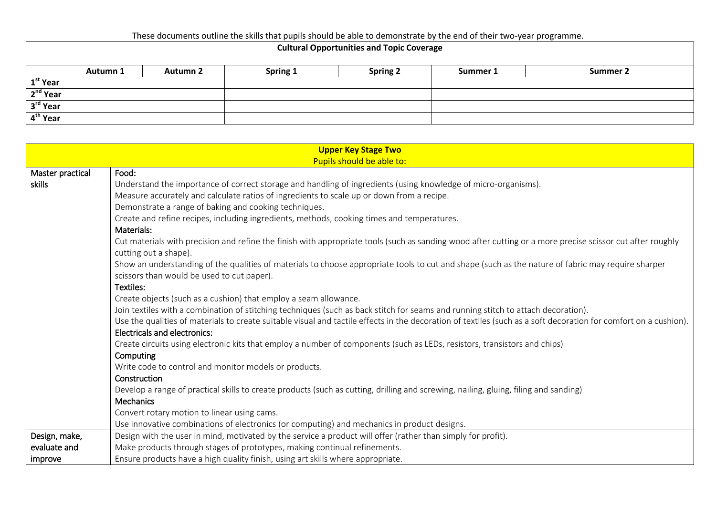## **Cultural Opportunities and Topic Coverage**

|                      | Autumn 1 | <b>Autumn 2</b> | Spring 1 | <b>Spring 2</b> | Summer 1 | Summer 2 |
|----------------------|----------|-----------------|----------|-----------------|----------|----------|
| $1st$ Year           |          |                 |          |                 |          |          |
| 2 <sup>nd</sup> Year |          |                 |          |                 |          |          |
| 3 <sup>rd</sup> Year |          |                 |          |                 |          |          |
| 4 <sup>th</sup> Year |          |                 |          |                 |          |          |

| <b>Upper Key Stage Two</b> |                                                                                                                                                                  |  |  |  |  |  |
|----------------------------|------------------------------------------------------------------------------------------------------------------------------------------------------------------|--|--|--|--|--|
| Pupils should be able to:  |                                                                                                                                                                  |  |  |  |  |  |
| Master practical           | Food:                                                                                                                                                            |  |  |  |  |  |
| skills                     | Understand the importance of correct storage and handling of ingredients (using knowledge of micro-organisms).                                                   |  |  |  |  |  |
|                            | Measure accurately and calculate ratios of ingredients to scale up or down from a recipe.                                                                        |  |  |  |  |  |
|                            | Demonstrate a range of baking and cooking techniques.                                                                                                            |  |  |  |  |  |
|                            | Create and refine recipes, including ingredients, methods, cooking times and temperatures.                                                                       |  |  |  |  |  |
|                            | Materials:                                                                                                                                                       |  |  |  |  |  |
|                            | Cut materials with precision and refine the finish with appropriate tools (such as sanding wood after cutting or a more precise scissor cut after roughly        |  |  |  |  |  |
|                            | cutting out a shape).                                                                                                                                            |  |  |  |  |  |
|                            | Show an understanding of the qualities of materials to choose appropriate tools to cut and shape (such as the nature of fabric may require sharper               |  |  |  |  |  |
|                            | scissors than would be used to cut paper).                                                                                                                       |  |  |  |  |  |
|                            | Textiles:                                                                                                                                                        |  |  |  |  |  |
|                            | Create objects (such as a cushion) that employ a seam allowance.                                                                                                 |  |  |  |  |  |
|                            | Join textiles with a combination of stitching techniques (such as back stitch for seams and running stitch to attach decoration).                                |  |  |  |  |  |
|                            | Use the qualities of materials to create suitable visual and tactile effects in the decoration of textiles (such as a soft decoration for comfort on a cushion). |  |  |  |  |  |
|                            | <b>Electricals and electronics:</b>                                                                                                                              |  |  |  |  |  |
|                            | Create circuits using electronic kits that employ a number of components (such as LEDs, resistors, transistors and chips)                                        |  |  |  |  |  |
|                            | Computing                                                                                                                                                        |  |  |  |  |  |
|                            | Write code to control and monitor models or products.                                                                                                            |  |  |  |  |  |
|                            | Construction                                                                                                                                                     |  |  |  |  |  |
|                            | Develop a range of practical skills to create products (such as cutting, drilling and screwing, nailing, gluing, filing and sanding)                             |  |  |  |  |  |
|                            | <b>Mechanics</b>                                                                                                                                                 |  |  |  |  |  |
|                            | Convert rotary motion to linear using cams.                                                                                                                      |  |  |  |  |  |
|                            | Use innovative combinations of electronics (or computing) and mechanics in product designs.                                                                      |  |  |  |  |  |
| Design, make,              | Design with the user in mind, motivated by the service a product will offer (rather than simply for profit).                                                     |  |  |  |  |  |
| evaluate and               | Make products through stages of prototypes, making continual refinements.                                                                                        |  |  |  |  |  |
| improve                    | Ensure products have a high quality finish, using art skills where appropriate.                                                                                  |  |  |  |  |  |